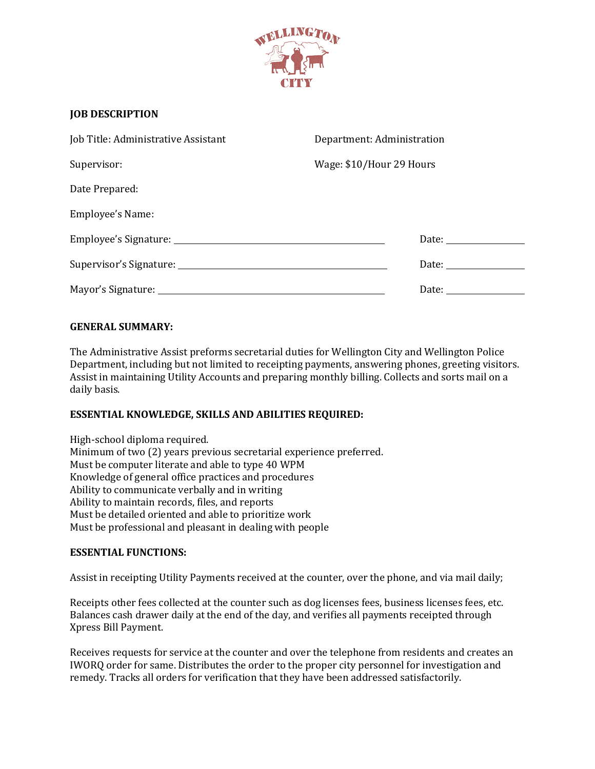

# **JOB DESCRIPTION**

| Job Title: Administrative Assistant | Department: Administration                                                                                                                                                                                                     |
|-------------------------------------|--------------------------------------------------------------------------------------------------------------------------------------------------------------------------------------------------------------------------------|
| Supervisor:                         | Wage: \$10/Hour 29 Hours                                                                                                                                                                                                       |
| Date Prepared:                      |                                                                                                                                                                                                                                |
| <b>Employee's Name:</b>             |                                                                                                                                                                                                                                |
|                                     | Date: the contract of the contract of the contract of the contract of the contract of the contract of the contract of the contract of the contract of the contract of the contract of the contract of the contract of the cont |
|                                     | Date: the contract of the contract of the contract of the contract of the contract of the contract of the contract of the contract of the contract of the contract of the contract of the contract of the contract of the cont |
|                                     |                                                                                                                                                                                                                                |

## **GENERAL SUMMARY:**

The Administrative Assist preforms secretarial duties for Wellington City and Wellington Police Department, including but not limited to receipting payments, answering phones, greeting visitors. Assist in maintaining Utility Accounts and preparing monthly billing. Collects and sorts mail on a daily basis.

## **ESSENTIAL KNOWLEDGE, SKILLS AND ABILITIES REQUIRED:**

High-school diploma required. Minimum of two (2) years previous secretarial experience preferred. Must be computer literate and able to type 40 WPM Knowledge of general office practices and procedures Ability to communicate verbally and in writing Ability to maintain records, files, and reports Must be detailed oriented and able to prioritize work Must be professional and pleasant in dealing with people

### **ESSENTIAL FUNCTIONS:**

Assist in receipting Utility Payments received at the counter, over the phone, and via mail daily;

Receipts other fees collected at the counter such as dog licenses fees, business licenses fees, etc. Balances cash drawer daily at the end of the day, and verifies all payments receipted through Xpress Bill Payment.

Receives requests for service at the counter and over the telephone from residents and creates an IWORQ order for same. Distributes the order to the proper city personnel for investigation and remedy. Tracks all orders for verification that they have been addressed satisfactorily.